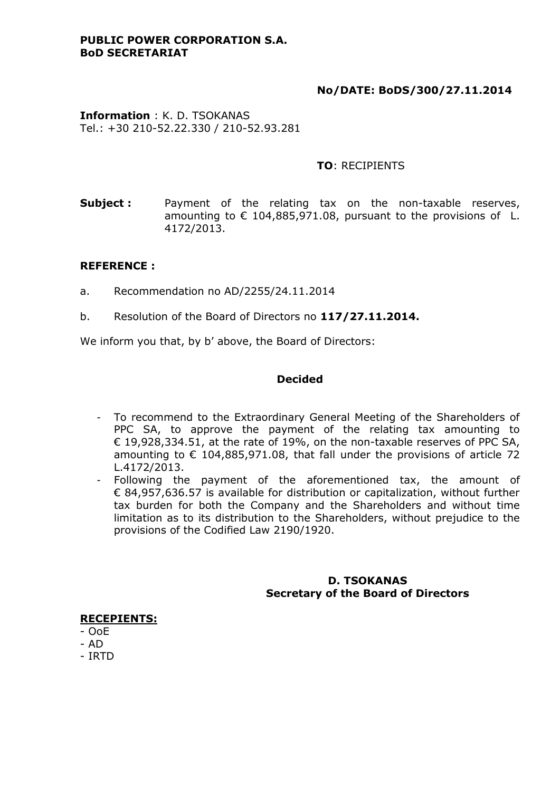### **PUBLIC POWER CORPORATION S.A. BoD SECRETARIAT**

# **No/DATE: BoDS/300/27.11.2014**

**Information** : K. D. TSOKANAS Tel.: +30 210-52.22.330 / 210-52.93.281

### **TO**: RECIPIENTS

**Subject:** Payment of the relating tax on the non-taxable reserves, amounting to  $\epsilon$  104,885,971.08, pursuant to the provisions of L. 4172/2013.

## **REFERENCE :**

- a. Recommendation no AD/2255/24.11.2014
- b. Resolution of the Board of Directors no **117/27.11.2014.**

We inform you that, by b' above, the Board of Directors:

### **Decided**

- To recommend to the Extraordinary General Meeting of the Shareholders of PPC SA, to approve the payment of the relating tax amounting to € 19,928,334.51, at the rate of 19%, on the non-taxable reserves of PPC SA, amounting to  $\epsilon$  104,885,971.08, that fall under the provisions of article 72 L.4172/2013.
- Following the payment of the aforementioned tax, the amount of € 84,957,636.57 is available for distribution or capitalization, without further tax burden for both the Company and the Shareholders and without time limitation as to its distribution to the Shareholders, without prejudice to the provisions of the Codified Law 2190/1920.

### **D. TSOKANAS Secretary of the Board of Directors**

**RECEPIENTS:**

- OoE

- AD
- IRTD